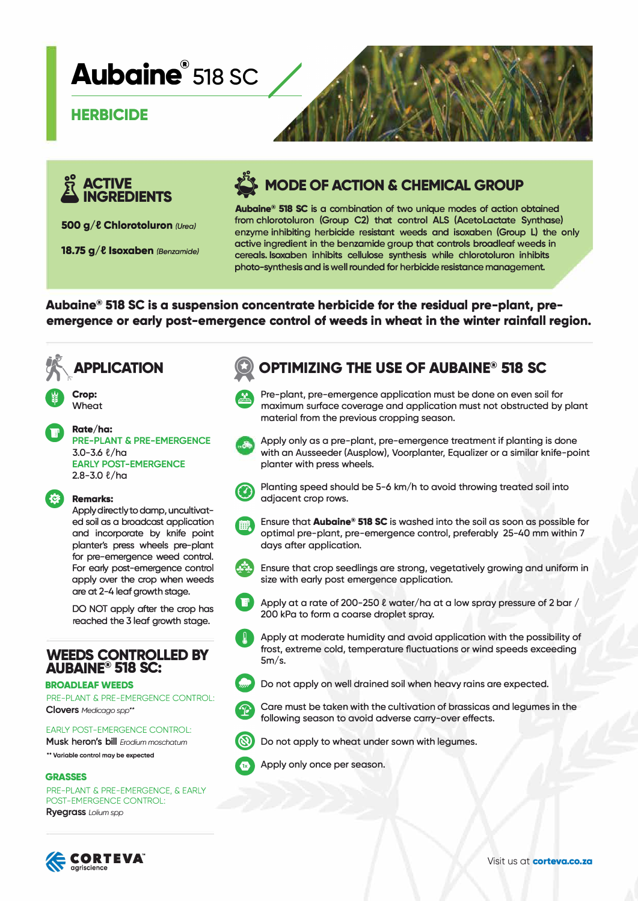# **Aubaine**<sup>®</sup> **518 SC**

## **HERBICIDE**



**500 g/t Chlorotoluron** *!Urea)* 

**18.75 g/t lsoxaben** *(Benzamide)* 

## **MODE OF ACTION & CHEMICAL GROUP**

Aubaine® 518 SC is a combination of two unique modes of action obtained from chlorotoluron (Group C2) that control ALS (AcetoLactate Synthase) enzyme inhibiting herbicide resistant weeds and isoxaben (Group L) the only active ingredient in the benzamide group that controls broadleaf weeds in cereals. lsoxaben inhibits cellulose synthesis while chlorotoluron inhibits photo-synthesis and is well rounded for herbicide resistance management.

## **Aubaine® 518 SC is a suspension concentrate herbicide for the residual pre-plant, preemergence or early post-emergence control of weeds in wheat in the winter rainfall region.**





**0**  Rate/ha: **PRE-PLANT** & **PRE-EMERGENCE**  $3.0 - 3.6 \frac{\ell}{\ln{a}}$ **EARLY POST-EMERGENCE**   $2.8 - 3.0 \frac{\ell}{\ln{a}}$ 

### **8**  Remarks:

Apply directly to damp, uncultivated soil as a broadcast application and incorporate by knife point planter's press wheels pre-plant for pre-emergence weed control. For early post-emergence control apply over the crop when weeds are at 2-4 leaf growth stage.

DO NOT apply after the crop has reached the 3 leaf growth stage.

## **WEEDS CONTROLLED BY AUBAINE® 518 SC:**

### **BROADLEAF WEEDS**

PRE-PLANT & PRE-EMERGENCE CONTROL: **Clovers** *Medicago spp ..* 

EARLY POST-EMERGENCE CONTROL: Musk heron's bill *Erodium moschatum* 

**•• Variable control may be expected** 

### **GRASSES**

PRE-PLANT & PRE-EMERGENCE, & EARLY POST-EMERGENCE CONTROL: **Ryegrass** *Lolium spp* 

## **A OPTIMIZING THE USE OF AUBAINE® 518 SC**

- **e**  Pre-plant, pre-emergence application must be done on even soil for maximum surface coverage and application must not obstructed by plant material from the previous cropping season.
	- Apply only as a pre-plant, pre-emergence treatment if planting is done with an Ausseeder (Ausplow), Voorplanter, Equalizer or a similar knife-point planter with press wheels.



Planting speed should be 5-6 km/h to avoid throwing treated soil into adjacent crop rows.



- Ensure that Aubaine® 518 SC is washed into the soil as soon as possible for optimal pre-plant, pre-emergence control, preferably 25-40 mm within 7 days after application.
- **e**  Ensure that crop seedlings are strong, vegetatively growing and uniform in size with early post emergence application.
- **G** 
	- Apply at a rate of 200-250  $\ell$  water/ha at a low spray pressure of 2 bar / 200 kPa to form a coarse droplet spray.
	- **e**  $\frac{1}{2}$ Apply at moderate humidity and avoid application with the possibility of frost, extreme cold, temperature fluctuations or wind speeds exceeding 5m/s.
- 
- Do not apply on well drained soil when heavy rains are expected.
- Care must be taken with the cultivation of brassicas and legumes in the following season to avoid adverse carry-over effects.



Do not apply to wheat under sown with legumes.